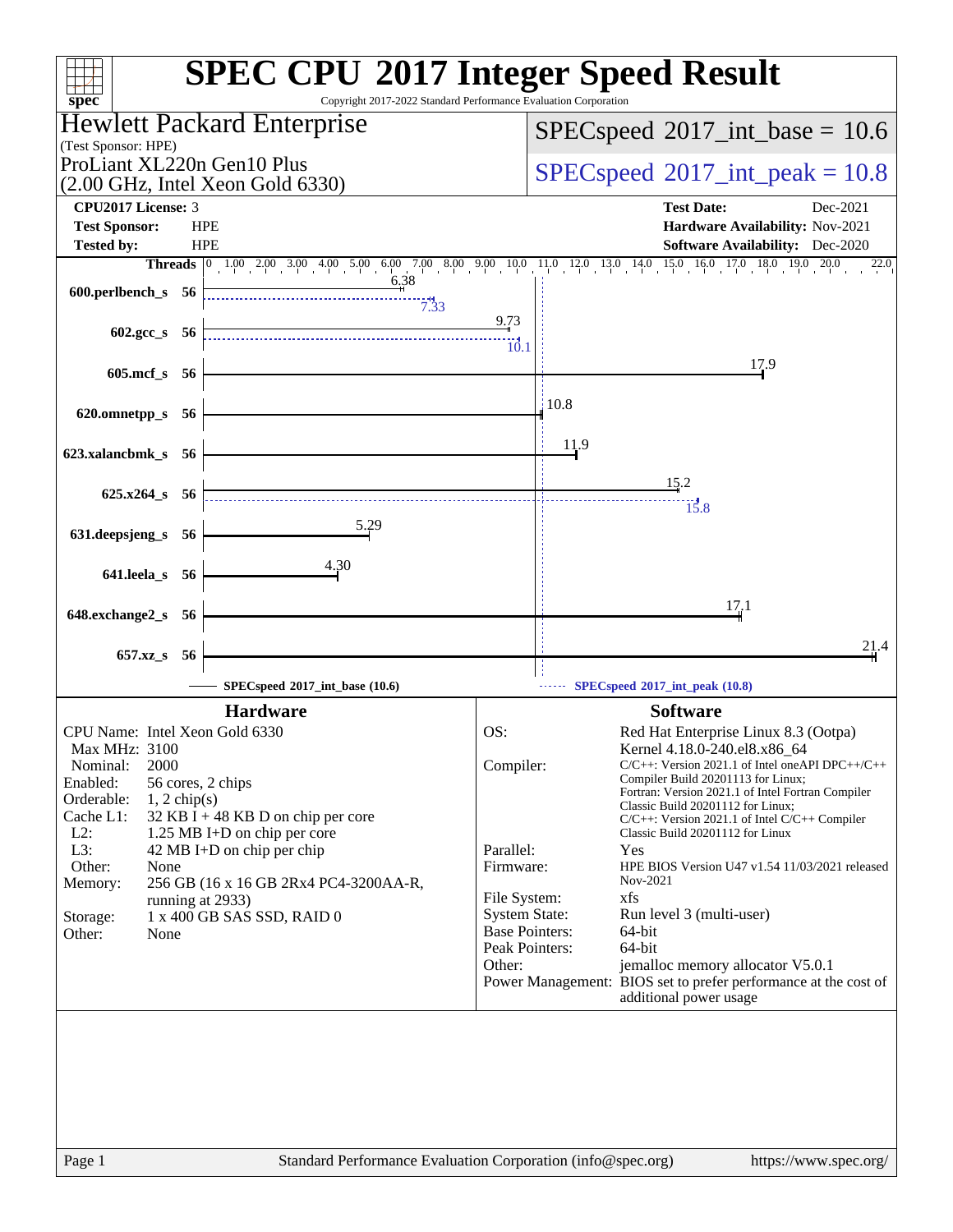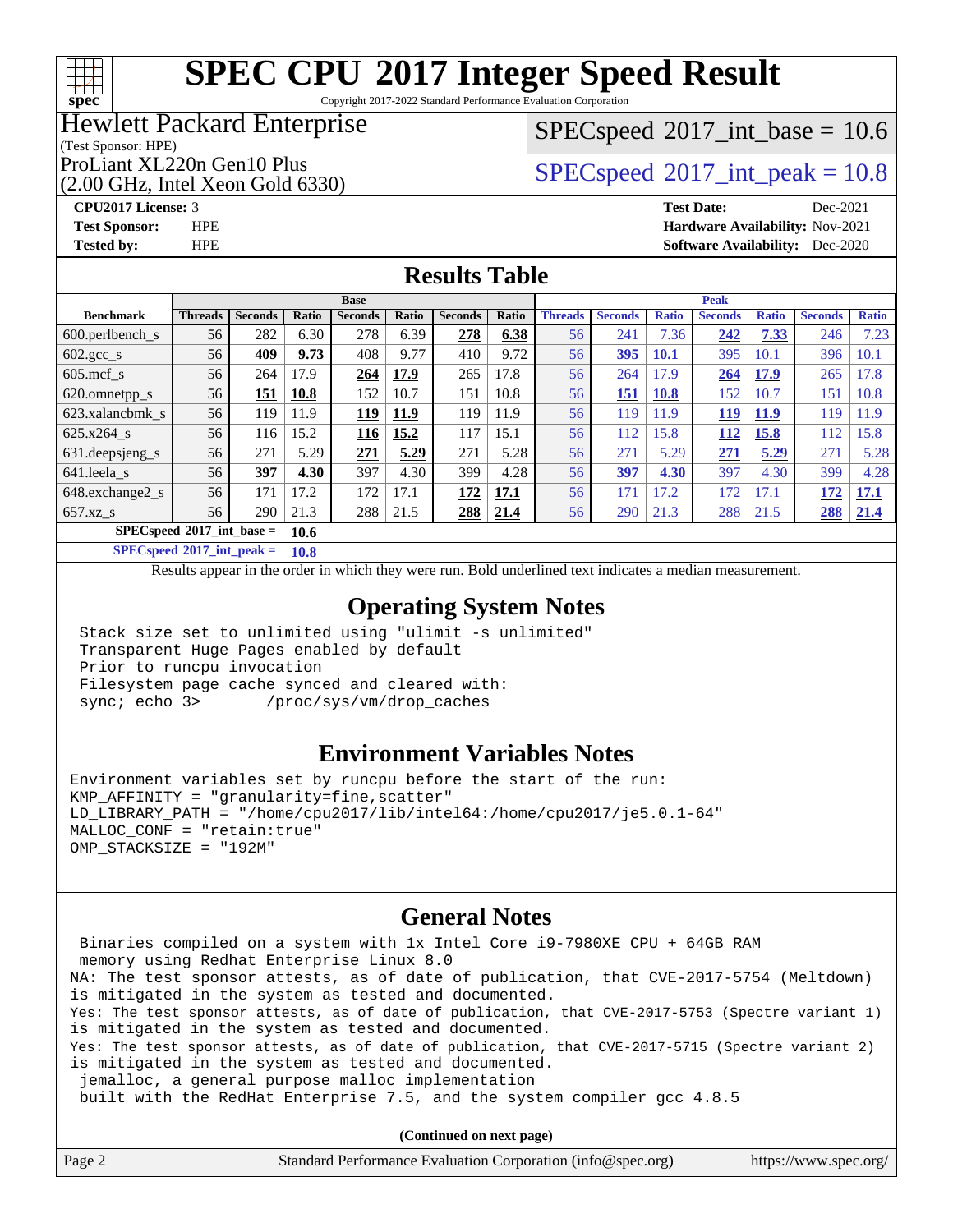## $+\ +$ **[spec](http://www.spec.org/)**

# **[SPEC CPU](http://www.spec.org/auto/cpu2017/Docs/result-fields.html#SPECCPU2017IntegerSpeedResult)[2017 Integer Speed Result](http://www.spec.org/auto/cpu2017/Docs/result-fields.html#SPECCPU2017IntegerSpeedResult)**

Copyright 2017-2022 Standard Performance Evaluation Corporation

## Hewlett Packard Enterprise

## $SPECspeed^{\circledcirc}2017\_int\_base = 10.6$  $SPECspeed^{\circledcirc}2017\_int\_base = 10.6$

(Test Sponsor: HPE)

(2.00 GHz, Intel Xeon Gold 6330)

ProLiant XL220n Gen10 Plus  $SPEC speed@2017$ \_int\_peak = 10.8

### **[CPU2017 License:](http://www.spec.org/auto/cpu2017/Docs/result-fields.html#CPU2017License)** 3 **[Test Date:](http://www.spec.org/auto/cpu2017/Docs/result-fields.html#TestDate)** Dec-2021 **[Test Sponsor:](http://www.spec.org/auto/cpu2017/Docs/result-fields.html#TestSponsor)** HPE **[Hardware Availability:](http://www.spec.org/auto/cpu2017/Docs/result-fields.html#HardwareAvailability)** Nov-2021 **[Tested by:](http://www.spec.org/auto/cpu2017/Docs/result-fields.html#Testedby)** HPE **[Software Availability:](http://www.spec.org/auto/cpu2017/Docs/result-fields.html#SoftwareAvailability)** Dec-2020

## **[Results Table](http://www.spec.org/auto/cpu2017/Docs/result-fields.html#ResultsTable)**

|                                            | <b>Base</b>    |                |       |                |       |                | <b>Peak</b>  |                |                |              |                |              |                |              |
|--------------------------------------------|----------------|----------------|-------|----------------|-------|----------------|--------------|----------------|----------------|--------------|----------------|--------------|----------------|--------------|
| <b>Benchmark</b>                           | <b>Threads</b> | <b>Seconds</b> | Ratio | <b>Seconds</b> | Ratio | <b>Seconds</b> | <b>Ratio</b> | <b>Threads</b> | <b>Seconds</b> | <b>Ratio</b> | <b>Seconds</b> | <b>Ratio</b> | <b>Seconds</b> | <b>Ratio</b> |
| $600.$ perlbench s                         | 56             | 282            | 6.30  | 278            | 6.39  | 278            | 6.38         | 56             | 241            | 7.36         | 242            | 7.33         | 246            | 7.23         |
| $602 \text{.} \text{gcc}\text{.}$ s        | 56             | 409            | 9.73  | 408            | 9.77  | 410            | 9.72         | 56             | 395            | <b>10.1</b>  | 395            | 10.1         | 396            | 10.1         |
| $605$ .mcf s                               | 56             | 264            | 17.9  | 264            | 17.9  | 265            | 17.8         | 56             | 264            | 17.9         | 264            | 17.9         | 265            | 17.8         |
| 620.omnetpp_s                              | 56             | 151            | 10.8  | 152            | 10.7  | 151            | 10.8         | 56             | 151            | <b>10.8</b>  | 152            | 10.7         | 151            | 10.8         |
| 623.xalancbmk s                            | 56             | 119            | 11.9  | 119            | 11.9  | 119            | 11.9         | 56             | 119            | 11.9         | 119            | <b>11.9</b>  | 119            | 11.9         |
| $625.x264$ s                               | 56             | 116            | 15.2  | 116            | 15.2  | 117            | 15.1         | 56             | 112            | 15.8         | 112            | 15.8         | 112            | 15.8         |
| 631.deepsjeng_s                            | 56             | 271            | 5.29  | 271            | 5.29  | 271            | 5.28         | 56             | 271            | 5.29         | 271            | 5.29         | 271            | 5.28         |
| 641.leela s                                | 56             | 397            | 4.30  | 397            | 4.30  | 399            | 4.28         | 56             | 397            | 4.30         | 397            | 4.30         | 399            | 4.28         |
| 648.exchange2 s                            | 56             | 171            | 17.2  | 172            | 17.1  | 172            | 17.1         | 56             | 171            | 17.2         | 172            | 17.1         | 172            | <u>17.1</u>  |
| $657.xz$ s                                 | 56             | 290            | 21.3  | 288            | 21.5  | 288            | 21.4         | 56             | 290            | 21.3         | 288            | 21.5         | 288            | 21.4         |
| $SPECspeed^{\circ}2017$ int base =<br>10.6 |                |                |       |                |       |                |              |                |                |              |                |              |                |              |

**[SPECspeed](http://www.spec.org/auto/cpu2017/Docs/result-fields.html#SPECspeed2017intpeak)[2017\\_int\\_peak =](http://www.spec.org/auto/cpu2017/Docs/result-fields.html#SPECspeed2017intpeak) 10.8**

Results appear in the [order in which they were run.](http://www.spec.org/auto/cpu2017/Docs/result-fields.html#RunOrder) Bold underlined text [indicates a median measurement](http://www.spec.org/auto/cpu2017/Docs/result-fields.html#Median).

## **[Operating System Notes](http://www.spec.org/auto/cpu2017/Docs/result-fields.html#OperatingSystemNotes)**

 Stack size set to unlimited using "ulimit -s unlimited" Transparent Huge Pages enabled by default Prior to runcpu invocation Filesystem page cache synced and cleared with: sync; echo 3> /proc/sys/vm/drop\_caches

## **[Environment Variables Notes](http://www.spec.org/auto/cpu2017/Docs/result-fields.html#EnvironmentVariablesNotes)**

Environment variables set by runcpu before the start of the run: KMP\_AFFINITY = "granularity=fine,scatter" LD\_LIBRARY\_PATH = "/home/cpu2017/lib/intel64:/home/cpu2017/je5.0.1-64" MALLOC\_CONF = "retain:true" OMP\_STACKSIZE = "192M"

## **[General Notes](http://www.spec.org/auto/cpu2017/Docs/result-fields.html#GeneralNotes)**

 Binaries compiled on a system with 1x Intel Core i9-7980XE CPU + 64GB RAM memory using Redhat Enterprise Linux 8.0 NA: The test sponsor attests, as of date of publication, that CVE-2017-5754 (Meltdown) is mitigated in the system as tested and documented. Yes: The test sponsor attests, as of date of publication, that CVE-2017-5753 (Spectre variant 1) is mitigated in the system as tested and documented. Yes: The test sponsor attests, as of date of publication, that CVE-2017-5715 (Spectre variant 2) is mitigated in the system as tested and documented. jemalloc, a general purpose malloc implementation built with the RedHat Enterprise 7.5, and the system compiler gcc 4.8.5

**(Continued on next page)**

|  | Page 2 | Standard Performance Evaluation Corporation (info@spec.org) | https://www.spec.org/ |
|--|--------|-------------------------------------------------------------|-----------------------|
|--|--------|-------------------------------------------------------------|-----------------------|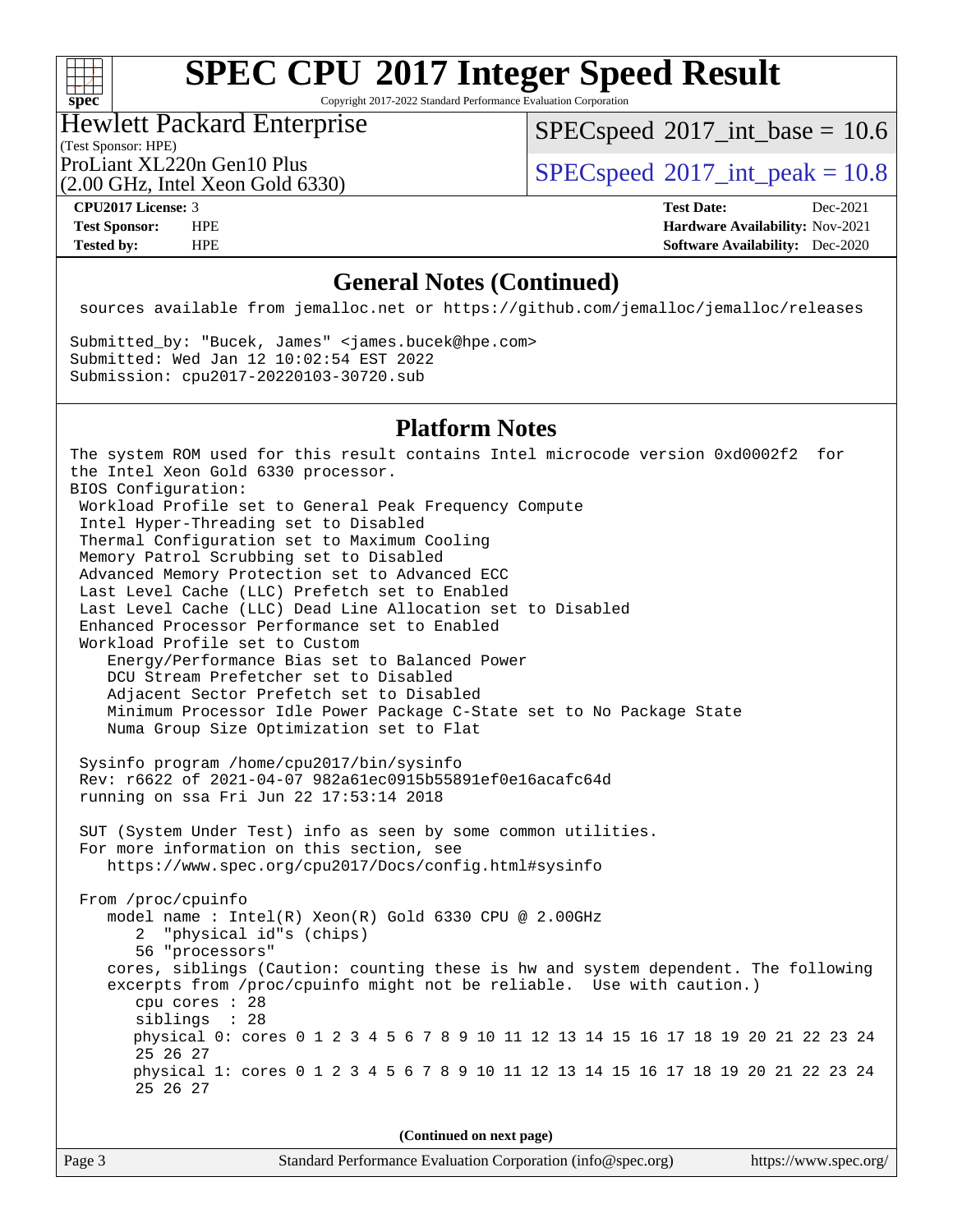### $+\hskip -1.5pt +\hskip -1.5pt +$ **[spec](http://www.spec.org/)**

# **[SPEC CPU](http://www.spec.org/auto/cpu2017/Docs/result-fields.html#SPECCPU2017IntegerSpeedResult)[2017 Integer Speed Result](http://www.spec.org/auto/cpu2017/Docs/result-fields.html#SPECCPU2017IntegerSpeedResult)**

Copyright 2017-2022 Standard Performance Evaluation Corporation

## Hewlett Packard Enterprise

 $SPECspeed^{\circ}2017\_int\_base = 10.6$  $SPECspeed^{\circ}2017\_int\_base = 10.6$ 

(Test Sponsor: HPE)

(2.00 GHz, Intel Xeon Gold 6330)

ProLiant XL220n Gen10 Plus  $SPEC speed@2017$ \_int\_peak = 10.8

**[CPU2017 License:](http://www.spec.org/auto/cpu2017/Docs/result-fields.html#CPU2017License)** 3 **[Test Date:](http://www.spec.org/auto/cpu2017/Docs/result-fields.html#TestDate)** Dec-2021 **[Test Sponsor:](http://www.spec.org/auto/cpu2017/Docs/result-fields.html#TestSponsor)** HPE **[Hardware Availability:](http://www.spec.org/auto/cpu2017/Docs/result-fields.html#HardwareAvailability)** Nov-2021 **[Tested by:](http://www.spec.org/auto/cpu2017/Docs/result-fields.html#Testedby)** HPE **[Software Availability:](http://www.spec.org/auto/cpu2017/Docs/result-fields.html#SoftwareAvailability)** Dec-2020

### **[General Notes \(Continued\)](http://www.spec.org/auto/cpu2017/Docs/result-fields.html#GeneralNotes)**

sources available from jemalloc.net or <https://github.com/jemalloc/jemalloc/releases>

Submitted\_by: "Bucek, James" <james.bucek@hpe.com> Submitted: Wed Jan 12 10:02:54 EST 2022 Submission: cpu2017-20220103-30720.sub

### **[Platform Notes](http://www.spec.org/auto/cpu2017/Docs/result-fields.html#PlatformNotes)**

The system ROM used for this result contains Intel microcode version 0xd0002f2 for the Intel Xeon Gold 6330 processor. BIOS Configuration: Workload Profile set to General Peak Frequency Compute Intel Hyper-Threading set to Disabled Thermal Configuration set to Maximum Cooling Memory Patrol Scrubbing set to Disabled Advanced Memory Protection set to Advanced ECC Last Level Cache (LLC) Prefetch set to Enabled Last Level Cache (LLC) Dead Line Allocation set to Disabled Enhanced Processor Performance set to Enabled Workload Profile set to Custom Energy/Performance Bias set to Balanced Power DCU Stream Prefetcher set to Disabled Adjacent Sector Prefetch set to Disabled Minimum Processor Idle Power Package C-State set to No Package State Numa Group Size Optimization set to Flat Sysinfo program /home/cpu2017/bin/sysinfo Rev: r6622 of 2021-04-07 982a61ec0915b55891ef0e16acafc64d running on ssa Fri Jun 22 17:53:14 2018 SUT (System Under Test) info as seen by some common utilities. For more information on this section, see <https://www.spec.org/cpu2017/Docs/config.html#sysinfo> From /proc/cpuinfo model name : Intel(R) Xeon(R) Gold 6330 CPU @ 2.00GHz 2 "physical id"s (chips) 56 "processors" cores, siblings (Caution: counting these is hw and system dependent. The following excerpts from /proc/cpuinfo might not be reliable. Use with caution.) cpu cores : 28 siblings : 28 physical 0: cores 0 1 2 3 4 5 6 7 8 9 10 11 12 13 14 15 16 17 18 19 20 21 22 23 24 25 26 27 physical 1: cores 0 1 2 3 4 5 6 7 8 9 10 11 12 13 14 15 16 17 18 19 20 21 22 23 24 25 26 27

**(Continued on next page)**

| Page 3 | Standard Performance Evaluation Corporation (info@spec.org) | https://www.spec.org/ |
|--------|-------------------------------------------------------------|-----------------------|
|        |                                                             |                       |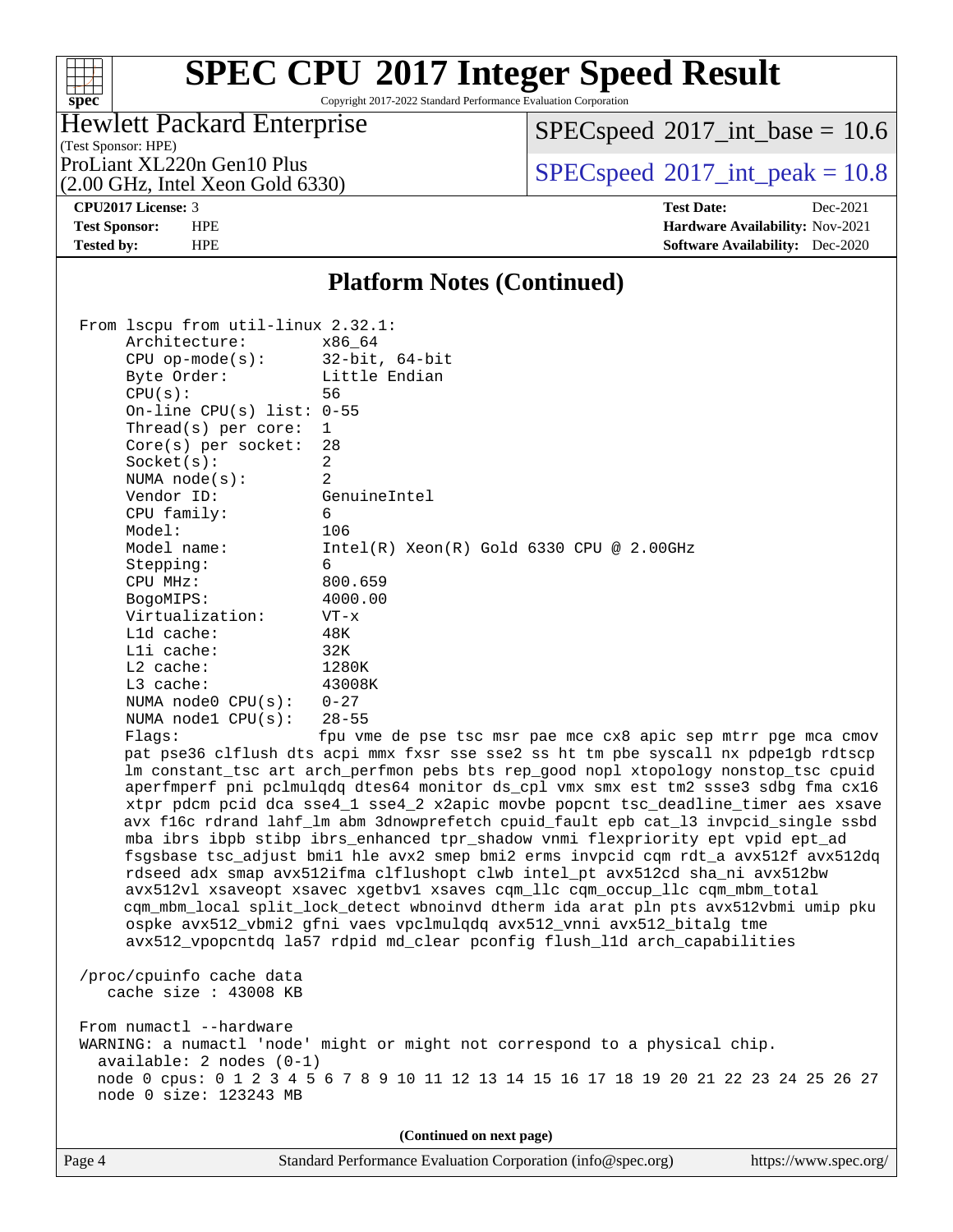Copyright 2017-2022 Standard Performance Evaluation Corporation

## Hewlett Packard Enterprise

 $SPECspeed^{\circ}2017\_int\_base = 10.6$  $SPECspeed^{\circ}2017\_int\_base = 10.6$ 

(Test Sponsor: HPE) (2.00 GHz, Intel Xeon Gold 6330)

ProLiant XL220n Gen10 Plus  $SPEC speed@2017$ \_int\_peak = 10.8

**[spec](http://www.spec.org/)**

 $+\hskip -1.5pt +\hskip -1.5pt +$ 

**[CPU2017 License:](http://www.spec.org/auto/cpu2017/Docs/result-fields.html#CPU2017License)** 3 **[Test Date:](http://www.spec.org/auto/cpu2017/Docs/result-fields.html#TestDate)** Dec-2021 **[Test Sponsor:](http://www.spec.org/auto/cpu2017/Docs/result-fields.html#TestSponsor)** HPE **[Hardware Availability:](http://www.spec.org/auto/cpu2017/Docs/result-fields.html#HardwareAvailability)** Nov-2021 **[Tested by:](http://www.spec.org/auto/cpu2017/Docs/result-fields.html#Testedby)** HPE **[Software Availability:](http://www.spec.org/auto/cpu2017/Docs/result-fields.html#SoftwareAvailability)** Dec-2020

### **[Platform Notes \(Continued\)](http://www.spec.org/auto/cpu2017/Docs/result-fields.html#PlatformNotes)**

 From lscpu from util-linux 2.32.1: Architecture: x86\_64 CPU op-mode(s): 32-bit, 64-bit Byte Order: Little Endian CPU(s): 56 On-line CPU(s) list: 0-55 Thread(s) per core: 1 Core(s) per socket: 28 Socket(s): 2 NUMA node(s): 2 Vendor ID: GenuineIntel CPU family: 6 Model: 106 Model name: Intel(R) Xeon(R) Gold 6330 CPU @ 2.00GHz Stepping: 6 CPU MHz: 800.659 BogoMIPS: 4000.00 Virtualization: VT-x L1d cache: 48K L1i cache: 32K L2 cache: 1280K L3 cache: 43008K NUMA node0 CPU(s): 0-27 NUMA node1 CPU(s): 28-55 Flags: fpu vme de pse tsc msr pae mce cx8 apic sep mtrr pge mca cmov pat pse36 clflush dts acpi mmx fxsr sse sse2 ss ht tm pbe syscall nx pdpe1gb rdtscp lm constant\_tsc art arch\_perfmon pebs bts rep\_good nopl xtopology nonstop\_tsc cpuid aperfmperf pni pclmulqdq dtes64 monitor ds\_cpl vmx smx est tm2 ssse3 sdbg fma cx16 xtpr pdcm pcid dca sse4\_1 sse4\_2 x2apic movbe popcnt tsc\_deadline\_timer aes xsave avx f16c rdrand lahf\_lm abm 3dnowprefetch cpuid\_fault epb cat\_l3 invpcid\_single ssbd mba ibrs ibpb stibp ibrs\_enhanced tpr\_shadow vnmi flexpriority ept vpid ept\_ad fsgsbase tsc\_adjust bmi1 hle avx2 smep bmi2 erms invpcid cqm rdt\_a avx512f avx512dq rdseed adx smap avx512ifma clflushopt clwb intel\_pt avx512cd sha\_ni avx512bw avx512vl xsaveopt xsavec xgetbv1 xsaves cqm\_llc cqm\_occup\_llc cqm\_mbm\_total cqm\_mbm\_local split\_lock\_detect wbnoinvd dtherm ida arat pln pts avx512vbmi umip pku ospke avx512\_vbmi2 gfni vaes vpclmulqdq avx512\_vnni avx512\_bitalg tme avx512\_vpopcntdq la57 rdpid md\_clear pconfig flush\_l1d arch\_capabilities /proc/cpuinfo cache data cache size : 43008 KB From numactl --hardware WARNING: a numactl 'node' might or might not correspond to a physical chip. available: 2 nodes (0-1) node 0 cpus: 0 1 2 3 4 5 6 7 8 9 10 11 12 13 14 15 16 17 18 19 20 21 22 23 24 25 26 27 node 0 size: 123243 MB **(Continued on next page)**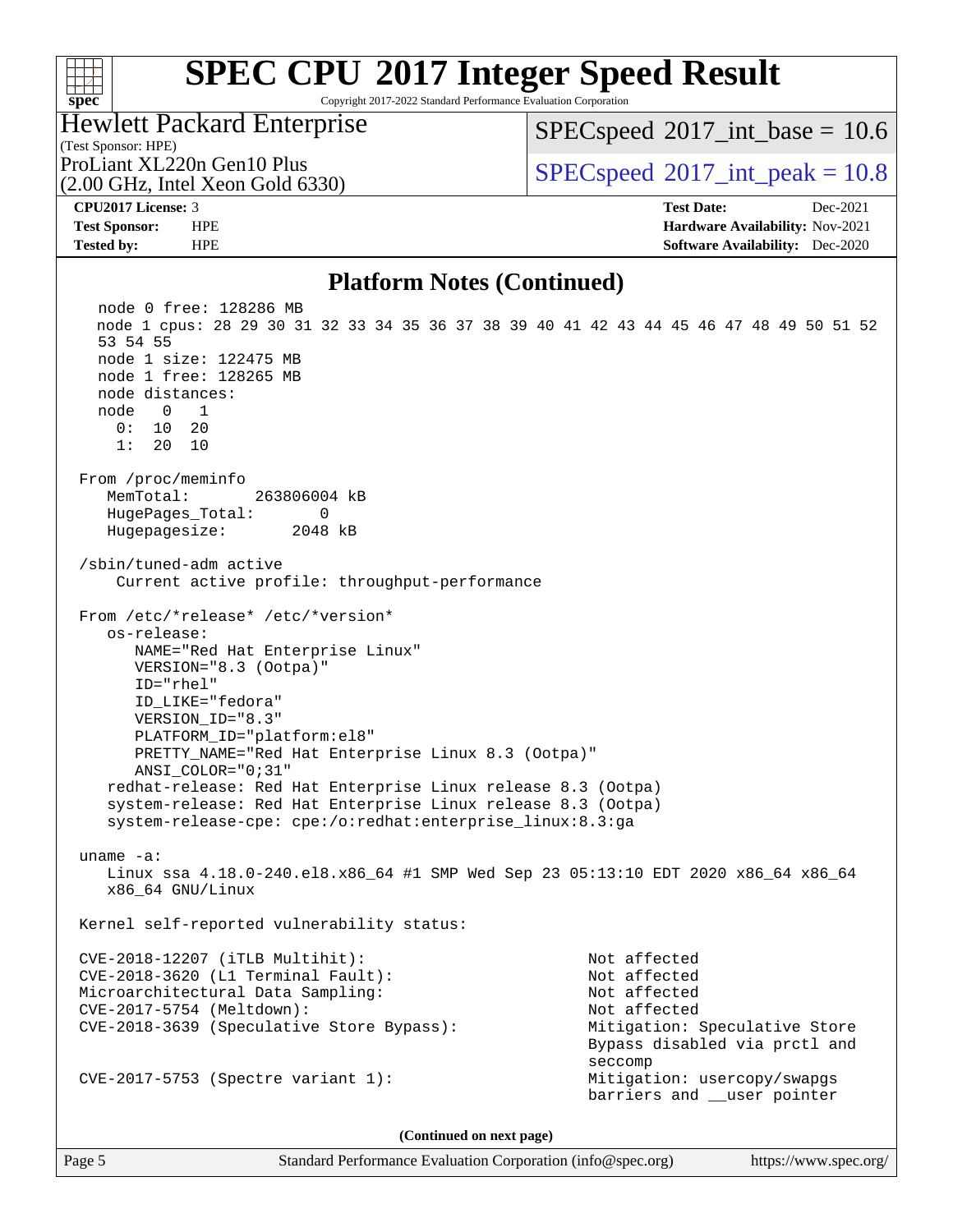### $+\ +$ **[spec](http://www.spec.org/)**

# **[SPEC CPU](http://www.spec.org/auto/cpu2017/Docs/result-fields.html#SPECCPU2017IntegerSpeedResult)[2017 Integer Speed Result](http://www.spec.org/auto/cpu2017/Docs/result-fields.html#SPECCPU2017IntegerSpeedResult)**

Copyright 2017-2022 Standard Performance Evaluation Corporation

## Hewlett Packard Enterprise

 $SPECspeed^{\circ}2017\_int\_base = 10.6$  $SPECspeed^{\circ}2017\_int\_base = 10.6$ 

(Test Sponsor: HPE) (2.00 GHz, Intel Xeon Gold 6330)

ProLiant XL220n Gen10 Plus  $SPECspeed@2017$  $SPECspeed@2017$ \_int\_peak = 10.8

**[CPU2017 License:](http://www.spec.org/auto/cpu2017/Docs/result-fields.html#CPU2017License)** 3 **[Test Date:](http://www.spec.org/auto/cpu2017/Docs/result-fields.html#TestDate)** Dec-2021 **[Test Sponsor:](http://www.spec.org/auto/cpu2017/Docs/result-fields.html#TestSponsor)** HPE **[Hardware Availability:](http://www.spec.org/auto/cpu2017/Docs/result-fields.html#HardwareAvailability)** Nov-2021 **[Tested by:](http://www.spec.org/auto/cpu2017/Docs/result-fields.html#Testedby)** HPE **[Software Availability:](http://www.spec.org/auto/cpu2017/Docs/result-fields.html#SoftwareAvailability)** Dec-2020

### **[Platform Notes \(Continued\)](http://www.spec.org/auto/cpu2017/Docs/result-fields.html#PlatformNotes)**

 node 0 free: 128286 MB node 1 cpus: 28 29 30 31 32 33 34 35 36 37 38 39 40 41 42 43 44 45 46 47 48 49 50 51 52 53 54 55 node 1 size: 122475 MB node 1 free: 128265 MB node distances: node 0 1 0: 10 20 1: 20 10 From /proc/meminfo MemTotal: 263806004 kB HugePages\_Total: 0 Hugepagesize: 2048 kB /sbin/tuned-adm active Current active profile: throughput-performance From /etc/\*release\* /etc/\*version\* os-release: NAME="Red Hat Enterprise Linux" VERSION="8.3 (Ootpa)" ID="rhel" ID\_LIKE="fedora" VERSION\_ID="8.3" PLATFORM\_ID="platform:el8" PRETTY\_NAME="Red Hat Enterprise Linux 8.3 (Ootpa)" ANSI\_COLOR="0;31" redhat-release: Red Hat Enterprise Linux release 8.3 (Ootpa) system-release: Red Hat Enterprise Linux release 8.3 (Ootpa) system-release-cpe: cpe:/o:redhat:enterprise\_linux:8.3:ga uname -a: Linux ssa 4.18.0-240.el8.x86\_64 #1 SMP Wed Sep 23 05:13:10 EDT 2020 x86\_64 x86\_64 x86\_64 GNU/Linux Kernel self-reported vulnerability status: CVE-2018-12207 (iTLB Multihit): Not affected CVE-2018-3620 (L1 Terminal Fault): Not affected Microarchitectural Data Sampling: Not affected CVE-2017-5754 (Meltdown): Not affected CVE-2018-3639 (Speculative Store Bypass): Mitigation: Speculative Store Bypass disabled via prctl and seccompany and the contract of the contract of the contract of the second seconds of the contract of the contract of the contract of the contract of the contract of the contract of the contract of the contract of the contr CVE-2017-5753 (Spectre variant 1): Mitigation: usercopy/swapgs barriers and \_\_user pointer

**(Continued on next page)**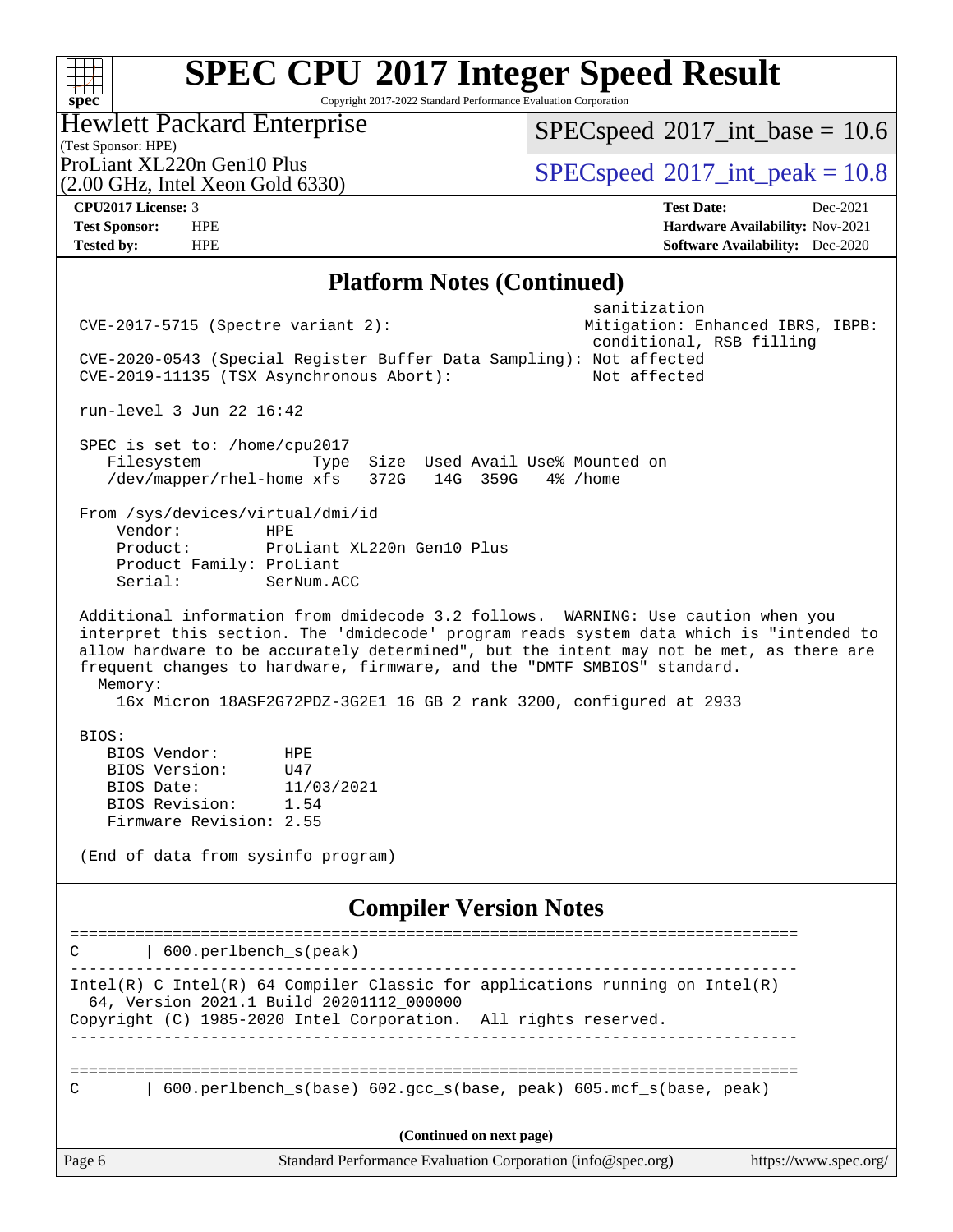Copyright 2017-2022 Standard Performance Evaluation Corporation

|  | <b>Hewlett Packard Enterprise</b> |  |
|--|-----------------------------------|--|
|  |                                   |  |

 $SPECspeed*2017\_int\_base = 10.6$  $SPECspeed*2017\_int\_base = 10.6$ 

(Test Sponsor: HPE) (2.00 GHz, Intel Xeon Gold 6330)

ProLiant XL220n Gen10 Plus  $\vert$  [SPECspeed](http://www.spec.org/auto/cpu2017/Docs/result-fields.html#SPECspeed2017intpeak)®[2017\\_int\\_peak = 1](http://www.spec.org/auto/cpu2017/Docs/result-fields.html#SPECspeed2017intpeak)0.8

**[spec](http://www.spec.org/)**

**[CPU2017 License:](http://www.spec.org/auto/cpu2017/Docs/result-fields.html#CPU2017License)** 3 **[Test Date:](http://www.spec.org/auto/cpu2017/Docs/result-fields.html#TestDate)** Dec-2021 **[Test Sponsor:](http://www.spec.org/auto/cpu2017/Docs/result-fields.html#TestSponsor)** HPE **[Hardware Availability:](http://www.spec.org/auto/cpu2017/Docs/result-fields.html#HardwareAvailability)** Nov-2021 **[Tested by:](http://www.spec.org/auto/cpu2017/Docs/result-fields.html#Testedby)** HPE **[Software Availability:](http://www.spec.org/auto/cpu2017/Docs/result-fields.html#SoftwareAvailability)** Dec-2020

### **[Platform Notes \(Continued\)](http://www.spec.org/auto/cpu2017/Docs/result-fields.html#PlatformNotes)**

| $CVE-2017-5715$ (Spectre variant 2):                                                                                                                                                                                                                                                                                                                                                                                                 | sanitization<br>Mitigation: Enhanced IBRS, IBPB: |
|--------------------------------------------------------------------------------------------------------------------------------------------------------------------------------------------------------------------------------------------------------------------------------------------------------------------------------------------------------------------------------------------------------------------------------------|--------------------------------------------------|
| CVE-2020-0543 (Special Register Buffer Data Sampling): Not affected<br>CVE-2019-11135 (TSX Asynchronous Abort):                                                                                                                                                                                                                                                                                                                      | conditional, RSB filling<br>Not affected         |
| run-level 3 Jun 22 16:42                                                                                                                                                                                                                                                                                                                                                                                                             |                                                  |
| SPEC is set to: /home/cpu2017<br>Filesystem<br>Size Used Avail Use% Mounted on<br>Type<br>/dev/mapper/rhel-home xfs<br>372G 14G 359G                                                                                                                                                                                                                                                                                                 | 4% /home                                         |
| From /sys/devices/virtual/dmi/id<br>Vendor:<br><b>HPE</b><br>ProLiant XL220n Gen10 Plus<br>Product:<br>Product Family: ProLiant<br>Serial:<br>SerNum.ACC                                                                                                                                                                                                                                                                             |                                                  |
| Additional information from dmidecode 3.2 follows. WARNING: Use caution when you<br>interpret this section. The 'dmidecode' program reads system data which is "intended to<br>allow hardware to be accurately determined", but the intent may not be met, as there are<br>frequent changes to hardware, firmware, and the "DMTF SMBIOS" standard.<br>Memory:<br>16x Micron 18ASF2G72PDZ-3G2E1 16 GB 2 rank 3200, configured at 2933 |                                                  |
| BIOS:<br>BIOS Vendor:<br>HPE<br>BIOS Version:<br>U47<br>BIOS Date:<br>11/03/2021<br>BIOS Revision:<br>1.54<br>Firmware Revision: 2.55<br>(End of data from sysinfo program)                                                                                                                                                                                                                                                          |                                                  |
|                                                                                                                                                                                                                                                                                                                                                                                                                                      |                                                  |
| <b>Compiler Version Notes</b><br>-------------                                                                                                                                                                                                                                                                                                                                                                                       | ==========================                       |
| 600.perlbench_s(peak)<br>C                                                                                                                                                                                                                                                                                                                                                                                                           |                                                  |
| $Intel(R)$ C Intel(R) 64 Compiler Classic for applications running on Intel(R)<br>64, Version 2021.1 Build 20201112_000000<br>Copyright (C) 1985-2020 Intel Corporation. All rights reserved.                                                                                                                                                                                                                                        |                                                  |
|                                                                                                                                                                                                                                                                                                                                                                                                                                      |                                                  |
| 600.perlbench_s(base) 602.gcc_s(base, peak) 605.mcf_s(base, peak)                                                                                                                                                                                                                                                                                                                                                                    |                                                  |
| (Continued on next page)                                                                                                                                                                                                                                                                                                                                                                                                             |                                                  |
| Page 6<br>Standard Performance Evaluation Corporation (info@spec.org)                                                                                                                                                                                                                                                                                                                                                                | https://www.spec.org/                            |
|                                                                                                                                                                                                                                                                                                                                                                                                                                      |                                                  |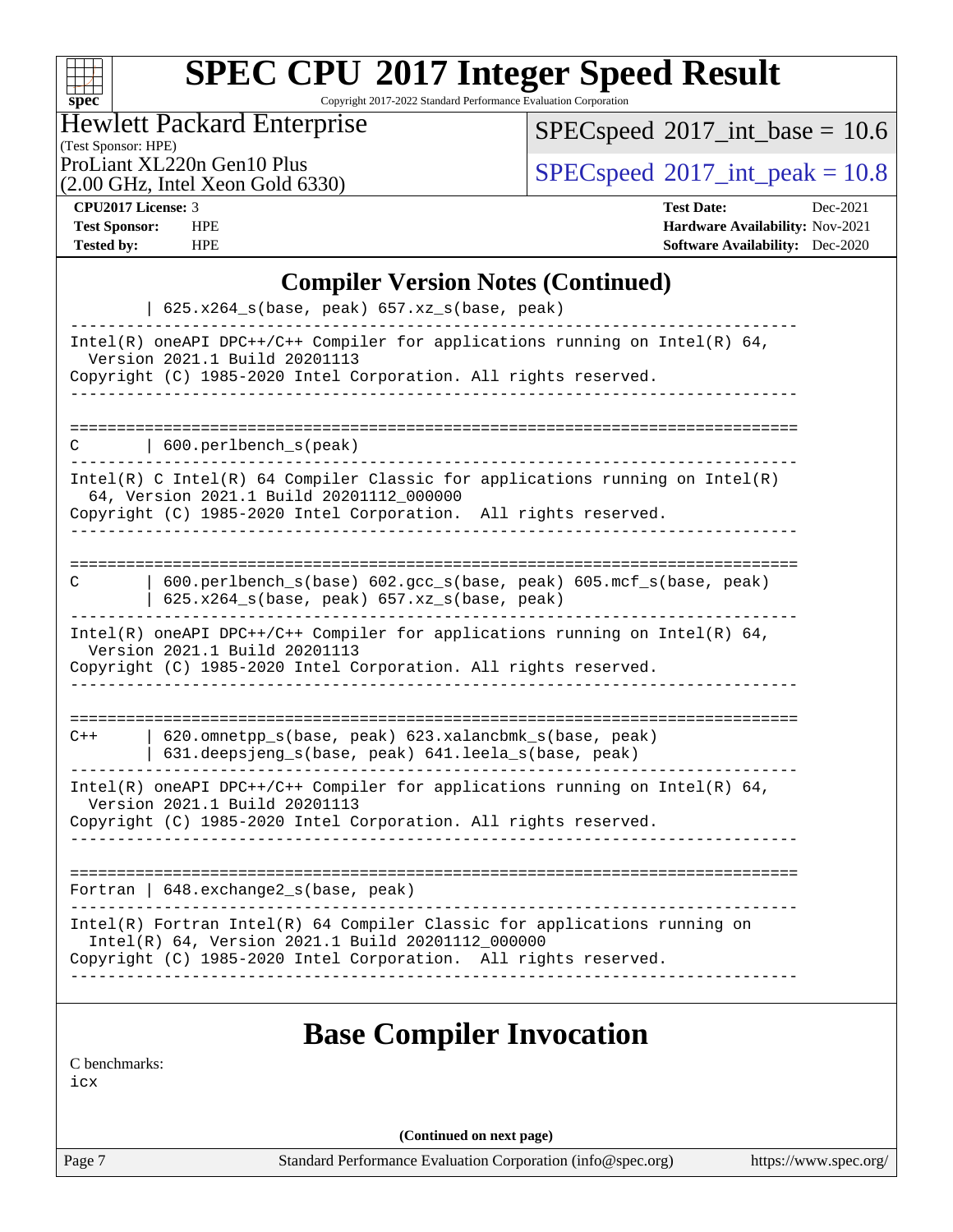

Copyright 2017-2022 Standard Performance Evaluation Corporation

## Hewlett Packard Enterprise

 $SPEC speed$ <sup>®</sup> $2017$ \_int\_base = 10.6

(Test Sponsor: HPE)

(2.00 GHz, Intel Xeon Gold 6330)

ProLiant XL220n Gen10 Plus  $\big|$  [SPECspeed](http://www.spec.org/auto/cpu2017/Docs/result-fields.html#SPECspeed2017intpeak)®[2017\\_int\\_peak = 1](http://www.spec.org/auto/cpu2017/Docs/result-fields.html#SPECspeed2017intpeak)0.8

**[CPU2017 License:](http://www.spec.org/auto/cpu2017/Docs/result-fields.html#CPU2017License)** 3 **[Test Date:](http://www.spec.org/auto/cpu2017/Docs/result-fields.html#TestDate)** Dec-2021 **[Test Sponsor:](http://www.spec.org/auto/cpu2017/Docs/result-fields.html#TestSponsor)** HPE **[Hardware Availability:](http://www.spec.org/auto/cpu2017/Docs/result-fields.html#HardwareAvailability)** Nov-2021 **[Tested by:](http://www.spec.org/auto/cpu2017/Docs/result-fields.html#Testedby)** HPE **[Software Availability:](http://www.spec.org/auto/cpu2017/Docs/result-fields.html#SoftwareAvailability)** Dec-2020

## **[Compiler Version Notes \(Continued\)](http://www.spec.org/auto/cpu2017/Docs/result-fields.html#CompilerVersionNotes)**

| 625.x264_s(base, peak) 657.xz_s(base, peak)                                                                                                                                                                                      |
|----------------------------------------------------------------------------------------------------------------------------------------------------------------------------------------------------------------------------------|
| Intel(R) oneAPI DPC++/C++ Compiler for applications running on Intel(R) $64$ ,<br>Version 2021.1 Build 20201113<br>Copyright (C) 1985-2020 Intel Corporation. All rights reserved.                                               |
|                                                                                                                                                                                                                                  |
| 600.perlbench_s(peak)<br>C                                                                                                                                                                                                       |
| ---------------------------------<br>Intel(R) C Intel(R) 64 Compiler Classic for applications running on Intel(R)<br>64, Version 2021.1 Build 20201112_000000<br>Copyright (C) 1985-2020 Intel Corporation. All rights reserved. |
| ________________________                                                                                                                                                                                                         |
| 600.perlbench_s(base) 602.gcc_s(base, peak) 605.mcf_s(base, peak)<br>C<br>$625.x264_s(base, peak)$ 657.xz <sub>_S</sub> (base, peak)                                                                                             |
| Intel(R) oneAPI DPC++/C++ Compiler for applications running on Intel(R) 64,<br>Version 2021.1 Build 20201113<br>Copyright (C) 1985-2020 Intel Corporation. All rights reserved.                                                  |
|                                                                                                                                                                                                                                  |
| 620.omnetpp_s(base, peak) 623.xalancbmk_s(base, peak)<br>$C++$<br>631.deepsjeng_s(base, peak) 641.leela_s(base, peak)                                                                                                            |
| Intel(R) oneAPI DPC++/C++ Compiler for applications running on Intel(R) $64$ ,<br>Version 2021.1 Build 20201113<br>Copyright (C) 1985-2020 Intel Corporation. All rights reserved.                                               |
|                                                                                                                                                                                                                                  |
| Fortran   648. exchange2_s(base, peak)                                                                                                                                                                                           |
| Intel(R) Fortran Intel(R) 64 Compiler Classic for applications running on<br>Intel(R) 64, Version 2021.1 Build 20201112_000000<br>Copyright (C) 1985-2020 Intel Corporation. All rights reserved.                                |
|                                                                                                                                                                                                                                  |
| <b>Base Compiler Invocation</b>                                                                                                                                                                                                  |
| C benchmarks:                                                                                                                                                                                                                    |

[icx](http://www.spec.org/cpu2017/results/res2022q1/cpu2017-20220103-30720.flags.html#user_CCbase_intel_icx_fe2d28d19ae2a5db7c42fe0f2a2aed77cb715edd4aeb23434404a8be6683fe239869bb6ca8154ca98265c2e3b9226a719a0efe2953a4a7018c379b7010ccf087)

**(Continued on next page)**

Page 7 Standard Performance Evaluation Corporation [\(info@spec.org\)](mailto:info@spec.org) <https://www.spec.org/>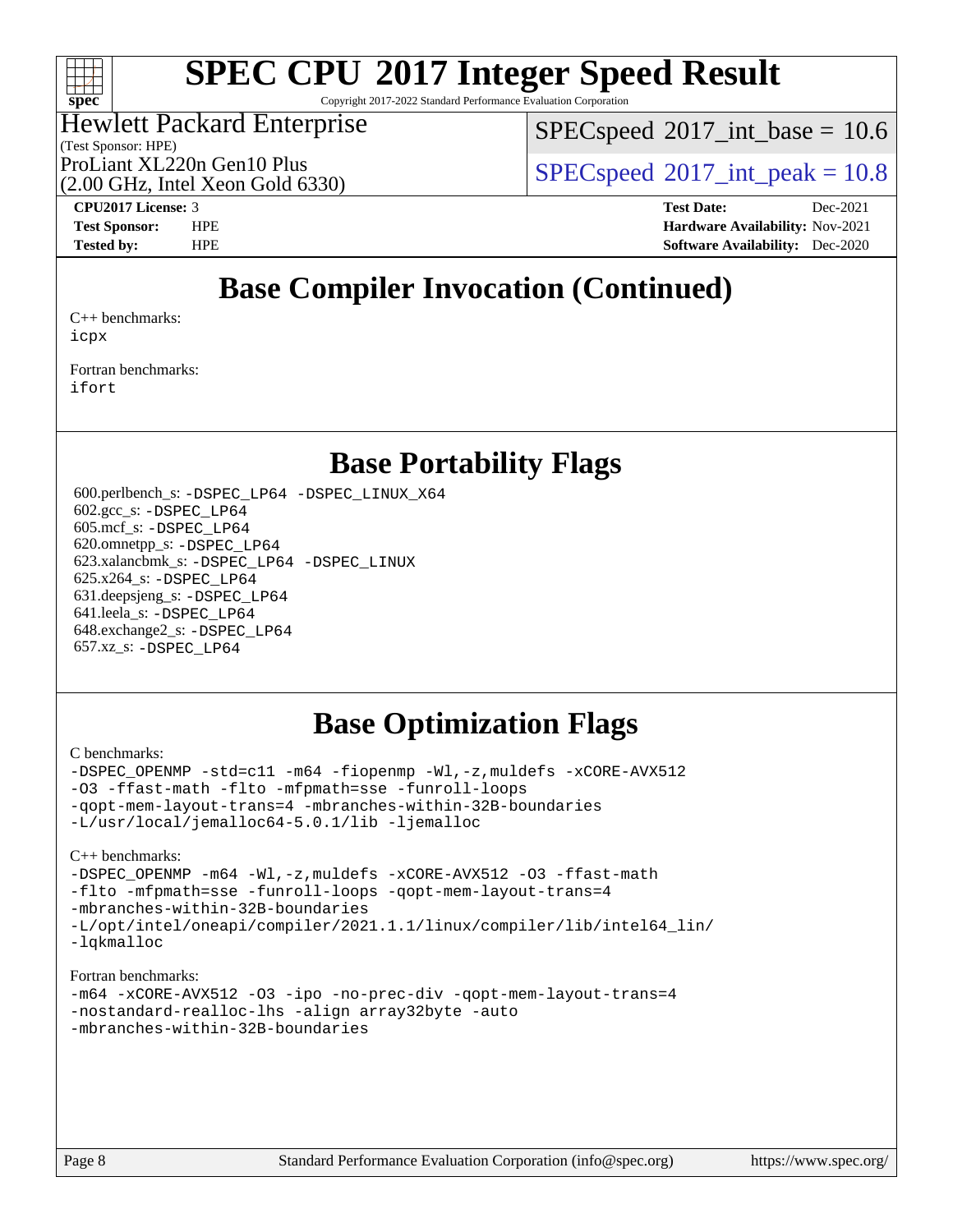

Copyright 2017-2022 Standard Performance Evaluation Corporation

## Hewlett Packard Enterprise

 $SPECspeed^{\circ}2017\_int\_base = 10.6$  $SPECspeed^{\circ}2017\_int\_base = 10.6$ 

(Test Sponsor: HPE) (2.00 GHz, Intel Xeon Gold 6330)

ProLiant XL220n Gen10 Plus  $SPECspeed@2017$  $SPECspeed@2017$  int peak = 10.8

**[CPU2017 License:](http://www.spec.org/auto/cpu2017/Docs/result-fields.html#CPU2017License)** 3 **[Test Date:](http://www.spec.org/auto/cpu2017/Docs/result-fields.html#TestDate)** Dec-2021 **[Test Sponsor:](http://www.spec.org/auto/cpu2017/Docs/result-fields.html#TestSponsor)** HPE **[Hardware Availability:](http://www.spec.org/auto/cpu2017/Docs/result-fields.html#HardwareAvailability)** Nov-2021 **[Tested by:](http://www.spec.org/auto/cpu2017/Docs/result-fields.html#Testedby)** HPE **[Software Availability:](http://www.spec.org/auto/cpu2017/Docs/result-fields.html#SoftwareAvailability)** Dec-2020

## **[Base Compiler Invocation \(Continued\)](http://www.spec.org/auto/cpu2017/Docs/result-fields.html#BaseCompilerInvocation)**

[C++ benchmarks:](http://www.spec.org/auto/cpu2017/Docs/result-fields.html#CXXbenchmarks) [icpx](http://www.spec.org/cpu2017/results/res2022q1/cpu2017-20220103-30720.flags.html#user_CXXbase_intel_icpx_1e918ed14c436bf4b9b7c8bcdd51d4539fc71b3df010bd1e9f8732d9c34c2b2914e48204a846820f3c0ebb4095dea797a5c30b458ac0b6dffac65d78f781f5ca)

[Fortran benchmarks](http://www.spec.org/auto/cpu2017/Docs/result-fields.html#Fortranbenchmarks): [ifort](http://www.spec.org/cpu2017/results/res2022q1/cpu2017-20220103-30720.flags.html#user_FCbase_intel_ifort_8111460550e3ca792625aed983ce982f94888b8b503583aa7ba2b8303487b4d8a21a13e7191a45c5fd58ff318f48f9492884d4413fa793fd88dd292cad7027ca)

## **[Base Portability Flags](http://www.spec.org/auto/cpu2017/Docs/result-fields.html#BasePortabilityFlags)**

 600.perlbench\_s: [-DSPEC\\_LP64](http://www.spec.org/cpu2017/results/res2022q1/cpu2017-20220103-30720.flags.html#b600.perlbench_s_basePORTABILITY_DSPEC_LP64) [-DSPEC\\_LINUX\\_X64](http://www.spec.org/cpu2017/results/res2022q1/cpu2017-20220103-30720.flags.html#b600.perlbench_s_baseCPORTABILITY_DSPEC_LINUX_X64) 602.gcc\_s: [-DSPEC\\_LP64](http://www.spec.org/cpu2017/results/res2022q1/cpu2017-20220103-30720.flags.html#suite_basePORTABILITY602_gcc_s_DSPEC_LP64) 605.mcf\_s: [-DSPEC\\_LP64](http://www.spec.org/cpu2017/results/res2022q1/cpu2017-20220103-30720.flags.html#suite_basePORTABILITY605_mcf_s_DSPEC_LP64) 620.omnetpp\_s: [-DSPEC\\_LP64](http://www.spec.org/cpu2017/results/res2022q1/cpu2017-20220103-30720.flags.html#suite_basePORTABILITY620_omnetpp_s_DSPEC_LP64) 623.xalancbmk\_s: [-DSPEC\\_LP64](http://www.spec.org/cpu2017/results/res2022q1/cpu2017-20220103-30720.flags.html#suite_basePORTABILITY623_xalancbmk_s_DSPEC_LP64) [-DSPEC\\_LINUX](http://www.spec.org/cpu2017/results/res2022q1/cpu2017-20220103-30720.flags.html#b623.xalancbmk_s_baseCXXPORTABILITY_DSPEC_LINUX) 625.x264\_s: [-DSPEC\\_LP64](http://www.spec.org/cpu2017/results/res2022q1/cpu2017-20220103-30720.flags.html#suite_basePORTABILITY625_x264_s_DSPEC_LP64) 631.deepsjeng\_s: [-DSPEC\\_LP64](http://www.spec.org/cpu2017/results/res2022q1/cpu2017-20220103-30720.flags.html#suite_basePORTABILITY631_deepsjeng_s_DSPEC_LP64) 641.leela\_s: [-DSPEC\\_LP64](http://www.spec.org/cpu2017/results/res2022q1/cpu2017-20220103-30720.flags.html#suite_basePORTABILITY641_leela_s_DSPEC_LP64) 648.exchange2\_s: [-DSPEC\\_LP64](http://www.spec.org/cpu2017/results/res2022q1/cpu2017-20220103-30720.flags.html#suite_basePORTABILITY648_exchange2_s_DSPEC_LP64) 657.xz\_s: [-DSPEC\\_LP64](http://www.spec.org/cpu2017/results/res2022q1/cpu2017-20220103-30720.flags.html#suite_basePORTABILITY657_xz_s_DSPEC_LP64)

## **[Base Optimization Flags](http://www.spec.org/auto/cpu2017/Docs/result-fields.html#BaseOptimizationFlags)**

### [C benchmarks](http://www.spec.org/auto/cpu2017/Docs/result-fields.html#Cbenchmarks):

[-DSPEC\\_OPENMP](http://www.spec.org/cpu2017/results/res2022q1/cpu2017-20220103-30720.flags.html#suite_CCbase_DSPEC_OPENMP) [-std=c11](http://www.spec.org/cpu2017/results/res2022q1/cpu2017-20220103-30720.flags.html#user_CCbase_std-icc-std_0e1c27790398a4642dfca32ffe6c27b5796f9c2d2676156f2e42c9c44eaad0c049b1cdb667a270c34d979996257aeb8fc440bfb01818dbc9357bd9d174cb8524) [-m64](http://www.spec.org/cpu2017/results/res2022q1/cpu2017-20220103-30720.flags.html#user_CCbase_m64-icc) [-fiopenmp](http://www.spec.org/cpu2017/results/res2022q1/cpu2017-20220103-30720.flags.html#user_CCbase_fiopenmp_4cde26b3fcccd23bd0bb70af4efc204325d72839eefa1147e34201101709f20b3deb62aad96701dea148529bf4ca48c90b72f3bf837ca148e297cf8a0ba6feb7) [-Wl,-z,muldefs](http://www.spec.org/cpu2017/results/res2022q1/cpu2017-20220103-30720.flags.html#user_CCbase_link_force_multiple1_b4cbdb97b34bdee9ceefcfe54f4c8ea74255f0b02a4b23e853cdb0e18eb4525ac79b5a88067c842dd0ee6996c24547a27a4b99331201badda8798ef8a743f577) [-xCORE-AVX512](http://www.spec.org/cpu2017/results/res2022q1/cpu2017-20220103-30720.flags.html#user_CCbase_f-xCORE-AVX512) [-O3](http://www.spec.org/cpu2017/results/res2022q1/cpu2017-20220103-30720.flags.html#user_CCbase_f-O3) [-ffast-math](http://www.spec.org/cpu2017/results/res2022q1/cpu2017-20220103-30720.flags.html#user_CCbase_f-ffast-math) [-flto](http://www.spec.org/cpu2017/results/res2022q1/cpu2017-20220103-30720.flags.html#user_CCbase_f-flto) [-mfpmath=sse](http://www.spec.org/cpu2017/results/res2022q1/cpu2017-20220103-30720.flags.html#user_CCbase_f-mfpmath_70eb8fac26bde974f8ab713bc9086c5621c0b8d2f6c86f38af0bd7062540daf19db5f3a066d8c6684be05d84c9b6322eb3b5be6619d967835195b93d6c02afa1) [-funroll-loops](http://www.spec.org/cpu2017/results/res2022q1/cpu2017-20220103-30720.flags.html#user_CCbase_f-funroll-loops) [-qopt-mem-layout-trans=4](http://www.spec.org/cpu2017/results/res2022q1/cpu2017-20220103-30720.flags.html#user_CCbase_f-qopt-mem-layout-trans_fa39e755916c150a61361b7846f310bcdf6f04e385ef281cadf3647acec3f0ae266d1a1d22d972a7087a248fd4e6ca390a3634700869573d231a252c784941a8) [-mbranches-within-32B-boundaries](http://www.spec.org/cpu2017/results/res2022q1/cpu2017-20220103-30720.flags.html#user_CCbase_f-mbranches-within-32B-boundaries) [-L/usr/local/jemalloc64-5.0.1/lib](http://www.spec.org/cpu2017/results/res2022q1/cpu2017-20220103-30720.flags.html#user_CCbase_jemalloc_link_path64_1_cc289568b1a6c0fd3b62c91b824c27fcb5af5e8098e6ad028160d21144ef1b8aef3170d2acf0bee98a8da324cfe4f67d0a3d0c4cc4673d993d694dc2a0df248b) [-ljemalloc](http://www.spec.org/cpu2017/results/res2022q1/cpu2017-20220103-30720.flags.html#user_CCbase_jemalloc_link_lib_d1249b907c500fa1c0672f44f562e3d0f79738ae9e3c4a9c376d49f265a04b9c99b167ecedbf6711b3085be911c67ff61f150a17b3472be731631ba4d0471706)

[C++ benchmarks:](http://www.spec.org/auto/cpu2017/Docs/result-fields.html#CXXbenchmarks) [-DSPEC\\_OPENMP](http://www.spec.org/cpu2017/results/res2022q1/cpu2017-20220103-30720.flags.html#suite_CXXbase_DSPEC_OPENMP) [-m64](http://www.spec.org/cpu2017/results/res2022q1/cpu2017-20220103-30720.flags.html#user_CXXbase_m64-icc) [-Wl,-z,muldefs](http://www.spec.org/cpu2017/results/res2022q1/cpu2017-20220103-30720.flags.html#user_CXXbase_link_force_multiple1_b4cbdb97b34bdee9ceefcfe54f4c8ea74255f0b02a4b23e853cdb0e18eb4525ac79b5a88067c842dd0ee6996c24547a27a4b99331201badda8798ef8a743f577) [-xCORE-AVX512](http://www.spec.org/cpu2017/results/res2022q1/cpu2017-20220103-30720.flags.html#user_CXXbase_f-xCORE-AVX512) [-O3](http://www.spec.org/cpu2017/results/res2022q1/cpu2017-20220103-30720.flags.html#user_CXXbase_f-O3) [-ffast-math](http://www.spec.org/cpu2017/results/res2022q1/cpu2017-20220103-30720.flags.html#user_CXXbase_f-ffast-math) [-flto](http://www.spec.org/cpu2017/results/res2022q1/cpu2017-20220103-30720.flags.html#user_CXXbase_f-flto) [-mfpmath=sse](http://www.spec.org/cpu2017/results/res2022q1/cpu2017-20220103-30720.flags.html#user_CXXbase_f-mfpmath_70eb8fac26bde974f8ab713bc9086c5621c0b8d2f6c86f38af0bd7062540daf19db5f3a066d8c6684be05d84c9b6322eb3b5be6619d967835195b93d6c02afa1) [-funroll-loops](http://www.spec.org/cpu2017/results/res2022q1/cpu2017-20220103-30720.flags.html#user_CXXbase_f-funroll-loops) [-qopt-mem-layout-trans=4](http://www.spec.org/cpu2017/results/res2022q1/cpu2017-20220103-30720.flags.html#user_CXXbase_f-qopt-mem-layout-trans_fa39e755916c150a61361b7846f310bcdf6f04e385ef281cadf3647acec3f0ae266d1a1d22d972a7087a248fd4e6ca390a3634700869573d231a252c784941a8) [-mbranches-within-32B-boundaries](http://www.spec.org/cpu2017/results/res2022q1/cpu2017-20220103-30720.flags.html#user_CXXbase_f-mbranches-within-32B-boundaries) [-L/opt/intel/oneapi/compiler/2021.1.1/linux/compiler/lib/intel64\\_lin/](http://www.spec.org/cpu2017/results/res2022q1/cpu2017-20220103-30720.flags.html#user_CXXbase_linkpath_765a8c93c4ea33dfc565a33ecb48f4f7d02a6338709b3b362f341eb203a06426ce1d12ded4c7809f6ab6cf0e9f5515cffeb4efc405b63f85dc27a83bbbdeb3a3) [-lqkmalloc](http://www.spec.org/cpu2017/results/res2022q1/cpu2017-20220103-30720.flags.html#user_CXXbase_qkmalloc_link_lib_79a818439969f771c6bc311cfd333c00fc099dad35c030f5aab9dda831713d2015205805422f83de8875488a2991c0a156aaa600e1f9138f8fc37004abc96dc5)

### [Fortran benchmarks](http://www.spec.org/auto/cpu2017/Docs/result-fields.html#Fortranbenchmarks):

```
-m64 -xCORE-AVX512 -O3 -ipo -no-prec-div -qopt-mem-layout-trans=4
-nostandard-realloc-lhs -align array32byte -auto
-mbranches-within-32B-boundaries
```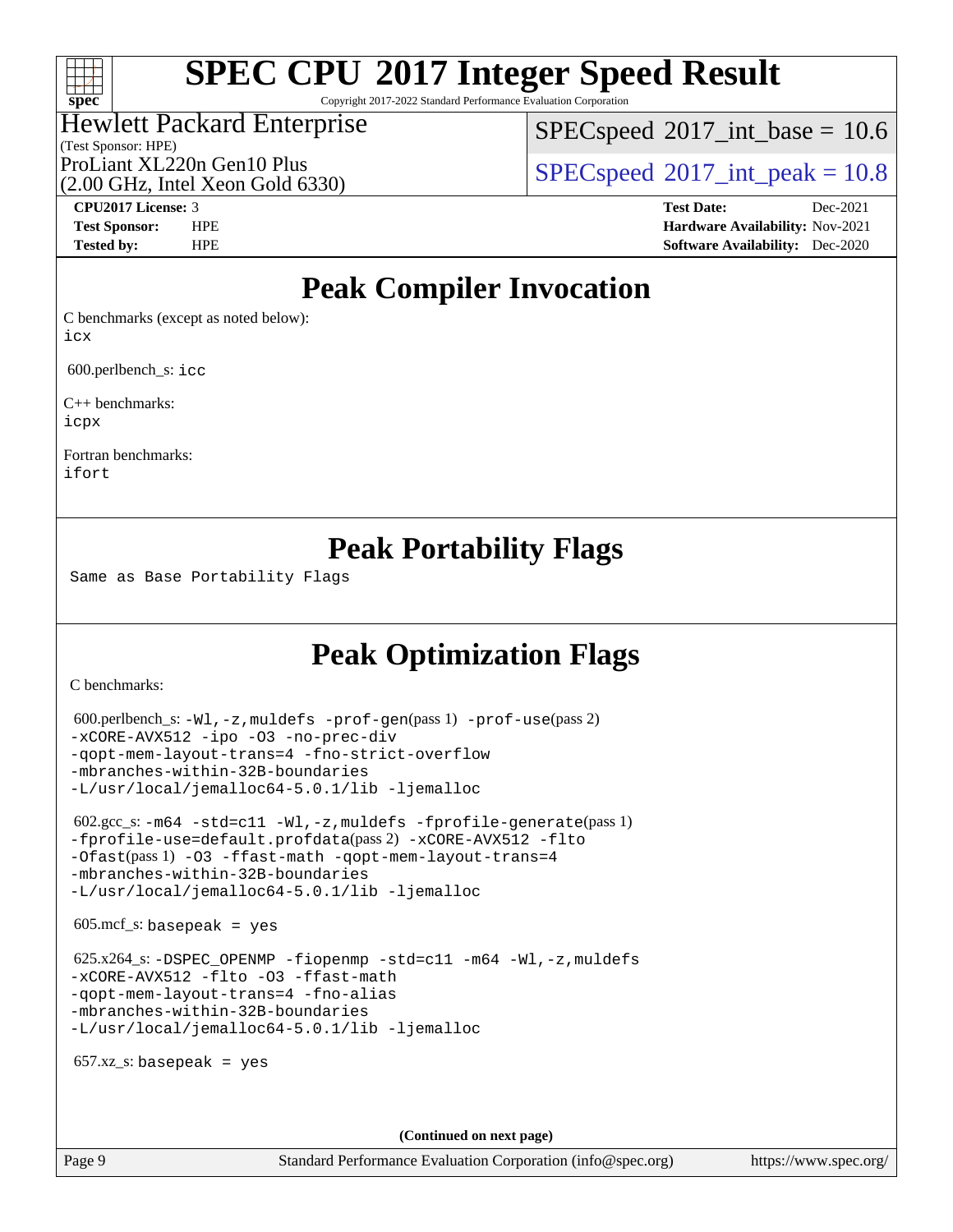## $\pm\pm\prime$ **[spec](http://www.spec.org/)**

# **[SPEC CPU](http://www.spec.org/auto/cpu2017/Docs/result-fields.html#SPECCPU2017IntegerSpeedResult)[2017 Integer Speed Result](http://www.spec.org/auto/cpu2017/Docs/result-fields.html#SPECCPU2017IntegerSpeedResult)**

Copyright 2017-2022 Standard Performance Evaluation Corporation

## Hewlett Packard Enterprise

 $SPECspeed^{\circ}2017\_int\_base = 10.6$  $SPECspeed^{\circ}2017\_int\_base = 10.6$ 

(Test Sponsor: HPE) (2.00 GHz, Intel Xeon Gold 6330)

ProLiant XL220n Gen10 Plus  $SPECspeed@2017$  $SPECspeed@2017$  int peak = 10.8

**[CPU2017 License:](http://www.spec.org/auto/cpu2017/Docs/result-fields.html#CPU2017License)** 3 **[Test Date:](http://www.spec.org/auto/cpu2017/Docs/result-fields.html#TestDate)** Dec-2021 **[Test Sponsor:](http://www.spec.org/auto/cpu2017/Docs/result-fields.html#TestSponsor)** HPE **[Hardware Availability:](http://www.spec.org/auto/cpu2017/Docs/result-fields.html#HardwareAvailability)** Nov-2021 **[Tested by:](http://www.spec.org/auto/cpu2017/Docs/result-fields.html#Testedby)** HPE **[Software Availability:](http://www.spec.org/auto/cpu2017/Docs/result-fields.html#SoftwareAvailability)** Dec-2020

## **[Peak Compiler Invocation](http://www.spec.org/auto/cpu2017/Docs/result-fields.html#PeakCompilerInvocation)**

[C benchmarks \(except as noted below\)](http://www.spec.org/auto/cpu2017/Docs/result-fields.html#Cbenchmarksexceptasnotedbelow): [icx](http://www.spec.org/cpu2017/results/res2022q1/cpu2017-20220103-30720.flags.html#user_CCpeak_intel_icx_fe2d28d19ae2a5db7c42fe0f2a2aed77cb715edd4aeb23434404a8be6683fe239869bb6ca8154ca98265c2e3b9226a719a0efe2953a4a7018c379b7010ccf087)

600.perlbench\_s: [icc](http://www.spec.org/cpu2017/results/res2022q1/cpu2017-20220103-30720.flags.html#user_peakCCLD600_perlbench_s_intel_icc_66fc1ee009f7361af1fbd72ca7dcefbb700085f36577c54f309893dd4ec40d12360134090235512931783d35fd58c0460139e722d5067c5574d8eaf2b3e37e92)

[C++ benchmarks:](http://www.spec.org/auto/cpu2017/Docs/result-fields.html#CXXbenchmarks) [icpx](http://www.spec.org/cpu2017/results/res2022q1/cpu2017-20220103-30720.flags.html#user_CXXpeak_intel_icpx_1e918ed14c436bf4b9b7c8bcdd51d4539fc71b3df010bd1e9f8732d9c34c2b2914e48204a846820f3c0ebb4095dea797a5c30b458ac0b6dffac65d78f781f5ca)

[Fortran benchmarks](http://www.spec.org/auto/cpu2017/Docs/result-fields.html#Fortranbenchmarks): [ifort](http://www.spec.org/cpu2017/results/res2022q1/cpu2017-20220103-30720.flags.html#user_FCpeak_intel_ifort_8111460550e3ca792625aed983ce982f94888b8b503583aa7ba2b8303487b4d8a21a13e7191a45c5fd58ff318f48f9492884d4413fa793fd88dd292cad7027ca)

## **[Peak Portability Flags](http://www.spec.org/auto/cpu2017/Docs/result-fields.html#PeakPortabilityFlags)**

Same as Base Portability Flags

## **[Peak Optimization Flags](http://www.spec.org/auto/cpu2017/Docs/result-fields.html#PeakOptimizationFlags)**

[C benchmarks](http://www.spec.org/auto/cpu2017/Docs/result-fields.html#Cbenchmarks):

```
 600.perlbench_s: -Wl,-z,muldefs -prof-gen(pass 1) -prof-use(pass 2)
-xCORE-AVX512 -ipo -O3 -no-prec-div
-qopt-mem-layout-trans=4 -fno-strict-overflow
-mbranches-within-32B-boundaries
-L/usr/local/jemalloc64-5.0.1/lib -ljemalloc
 602.gcc_s: -m64 -std=c11 -Wl,-z,muldefs -fprofile-generate(pass 1)
-fprofile-use=default.profdata(pass 2) -xCORE-AVX512 -flto
-Ofast(pass 1) -O3 -ffast-math -qopt-mem-layout-trans=4
-mbranches-within-32B-boundaries
-L/usr/local/jemalloc64-5.0.1/lib -ljemalloc
605 \text{.mcf}\text{-}\mathrm{s}: basepeak = yes
625.x264-fiopenmp-std=c11-m64-Wl,-z,muldefs
-xCORE-AVX512 -flto -O3 -ffast-math
-qopt-mem-layout-trans=4 -fno-alias
-mbranches-within-32B-boundaries
-L/usr/local/jemalloc64-5.0.1/lib -ljemalloc
657.xz s: basepeak = yes
```